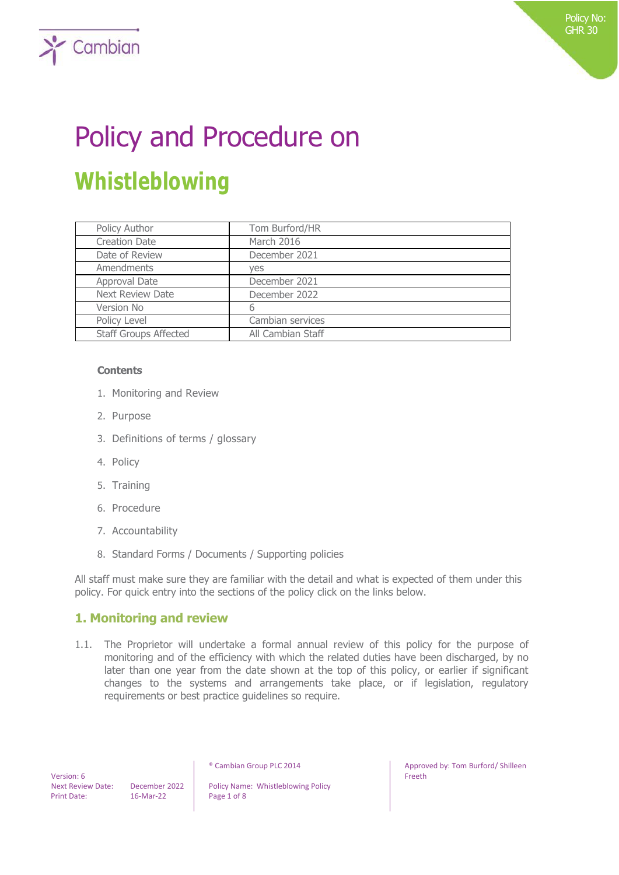# Policy and Procedure on **Whistleblowing**

| Policy Author                | Tom Burford/HR    |
|------------------------------|-------------------|
| <b>Creation Date</b>         | March 2016        |
| Date of Review               | December 2021     |
| Amendments                   | ves               |
| Approval Date                | December 2021     |
| <b>Next Review Date</b>      | December 2022     |
| Version No                   | 6                 |
| Policy Level                 | Cambian services  |
| <b>Staff Groups Affected</b> | All Cambian Staff |

#### **Contents**

 $\sum$  Cambian

- 1. Monitoring and Review
- 2. Purpose
- 3. Definitions of terms / glossary
- 4. Policy
- 5. Training
- 6. Procedure
- 7. Accountability
- 8. Standard Forms / Documents / Supporting policies

All staff must make sure they are familiar with the detail and what is expected of them under this policy. For quick entry into the sections of the policy click on the links below.

## **1. Monitoring and review**

1.1. The Proprietor will undertake a formal annual review of this policy for the purpose of monitoring and of the efficiency with which the related duties have been discharged, by no later than one year from the date shown at the top of this policy, or earlier if significant changes to the systems and arrangements take place, or if legislation, regulatory requirements or best practice guidelines so require.

 Version: 6 Print Date: 16-Mar-22 Page 1 of 8

Next Review Date: December 2022 | Policy Name: Whistleblowing Policy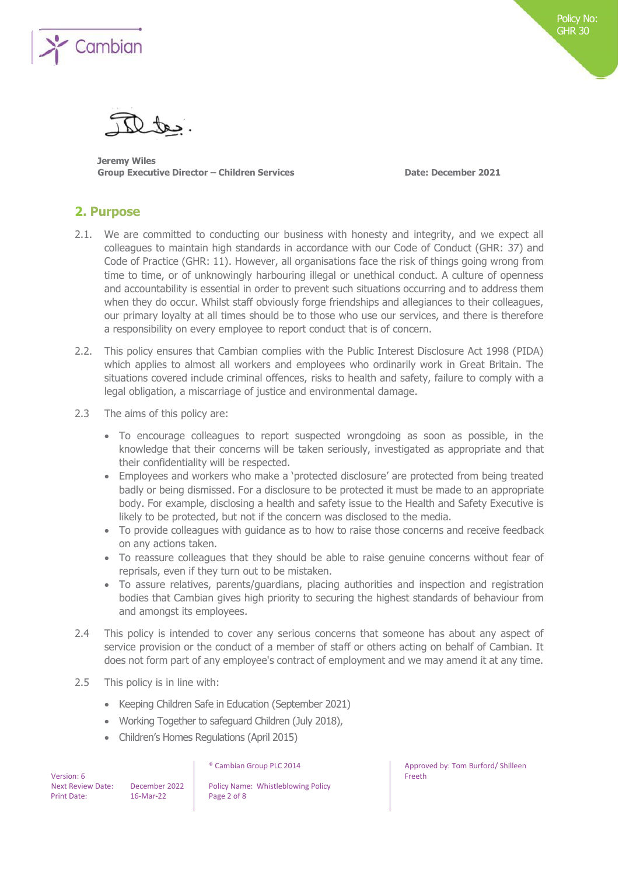

**Jeremy Wiles Group Executive Director – Children Services Date: December 2021**

## **2. Purpose**

- 2.1. We are committed to conducting our business with honesty and integrity, and we expect all colleagues to maintain high standards in accordance with our Code of Conduct (GHR: 37) and Code of Practice (GHR: 11). However, all organisations face the risk of things going wrong from time to time, or of unknowingly harbouring illegal or unethical conduct. A culture of openness and accountability is essential in order to prevent such situations occurring and to address them when they do occur. Whilst staff obviously forge friendships and allegiances to their colleagues, our primary loyalty at all times should be to those who use our services, and there is therefore a responsibility on every employee to report conduct that is of concern.
- 2.2. This policy ensures that Cambian complies with the Public Interest Disclosure Act 1998 (PIDA) which applies to almost all workers and employees who ordinarily work in Great Britain. The situations covered include criminal offences, risks to health and safety, failure to comply with a legal obligation, a miscarriage of justice and environmental damage.
- 2.3 The aims of this policy are:
	- To encourage colleagues to report suspected wrongdoing as soon as possible, in the knowledge that their concerns will be taken seriously, investigated as appropriate and that their confidentiality will be respected.
	- Employees and workers who make a 'protected disclosure' are protected from being treated badly or being dismissed. For a disclosure to be protected it must be made to an appropriate body. For example, disclosing a health and safety issue to the Health and Safety Executive is likely to be protected, but not if the concern was disclosed to the media.
	- To provide colleagues with guidance as to how to raise those concerns and receive feedback on any actions taken.
	- To reassure colleagues that they should be able to raise genuine concerns without fear of reprisals, even if they turn out to be mistaken.
	- To assure relatives, parents/guardians, placing authorities and inspection and registration bodies that Cambian gives high priority to securing the highest standards of behaviour from and amongst its employees.
- 2.4 This policy is intended to cover any serious concerns that someone has about any aspect of service provision or the conduct of a member of staff or others acting on behalf of Cambian. It does not form part of any employee's contract of employment and we may amend it at any time.
- 2.5 This policy is in line with:
	- Keeping Children Safe in Education (September 2021)
	- Working Together to safeguard Children (July 2018),
	- Children's Homes Regulations (April 2015)

| Version: 6               |
|--------------------------|
| <b>Next Review Date:</b> |
| <b>Print Date:</b>       |

December 2022 | Policy Name: Whistleblowing Policy 16-Mar-22 Page 2 of 8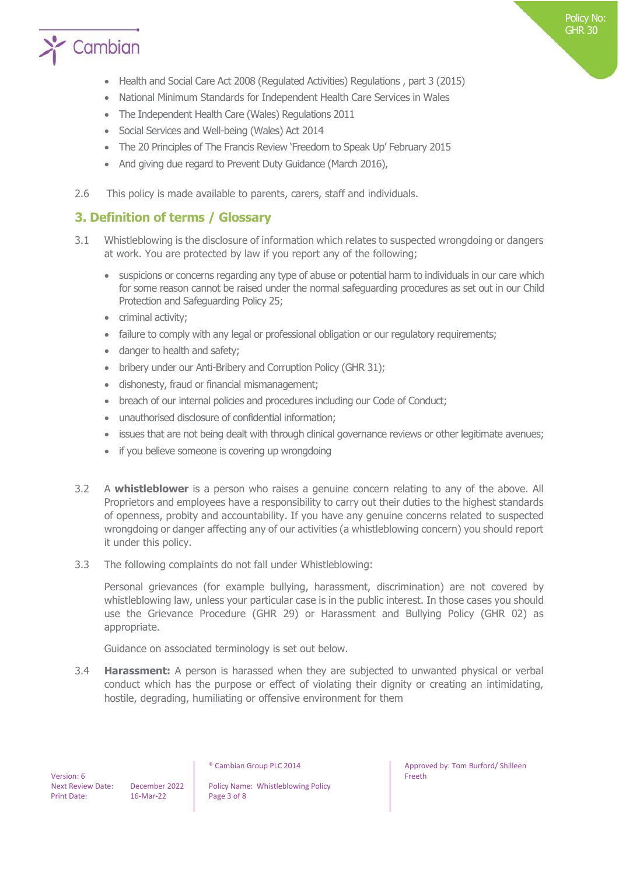

- Health and Social Care Act 2008 (Regulated Activities) Regulations , part 3 (2015)
- National Minimum Standards for Independent Health Care Services in Wales
- The Independent Health Care (Wales) Regulations 2011
- Social Services and Well-being (Wales) Act 2014
- The 20 Principles of The Francis Review 'Freedom to Speak Up' February 2015
- And giving due regard to Prevent Duty Guidance (March 2016),
- 2.6 This policy is made available to parents, carers, staff and individuals.

## **3. Definition of terms / Glossary**

- 3.1 Whistleblowing is the disclosure of information which relates to suspected wrongdoing or dangers at work. You are protected by law if you report any of the following;
	- suspicions or concerns regarding any type of abuse or potential harm to individuals in our care which for some reason cannot be raised under the normal safeguarding procedures as set out in our Child Protection and Safeguarding Policy 25;
	- criminal activity;
	- failure to comply with any legal or professional obligation or our regulatory requirements;
	- danger to health and safety;
	- bribery under our Anti-Bribery and Corruption Policy (GHR 31);
	- dishonesty, fraud or financial mismanagement;
	- breach of our internal policies and procedures including our Code of Conduct;
	- unauthorised disclosure of confidential information;
	- issues that are not being dealt with through clinical governance reviews or other legitimate avenues;
	- if you believe someone is covering up wrongdoing
- 3.2 A **whistleblower** is a person who raises a genuine concern relating to any of the above. All Proprietors and employees have a responsibility to carry out their duties to the highest standards of openness, probity and accountability. If you have any genuine concerns related to suspected wrongdoing or danger affecting any of our activities (a whistleblowing concern) you should report it under this policy.
- 3.3 The following complaints do not fall under Whistleblowing:

Personal grievances (for example bullying, harassment, discrimination) are not covered by whistleblowing law, unless your particular case is in the public interest. In those cases you should use the Grievance Procedure (GHR 29) or Harassment and Bullying Policy (GHR 02) as appropriate.

Guidance on associated terminology is set out below.

3.4 **Harassment:** A person is harassed when they are subjected to unwanted physical or verbal conduct which has the purpose or effect of violating their dignity or creating an intimidating, hostile, degrading, humiliating or offensive environment for them

Next Review Date: December 2022 | Policy Name: Whistleblowing Policy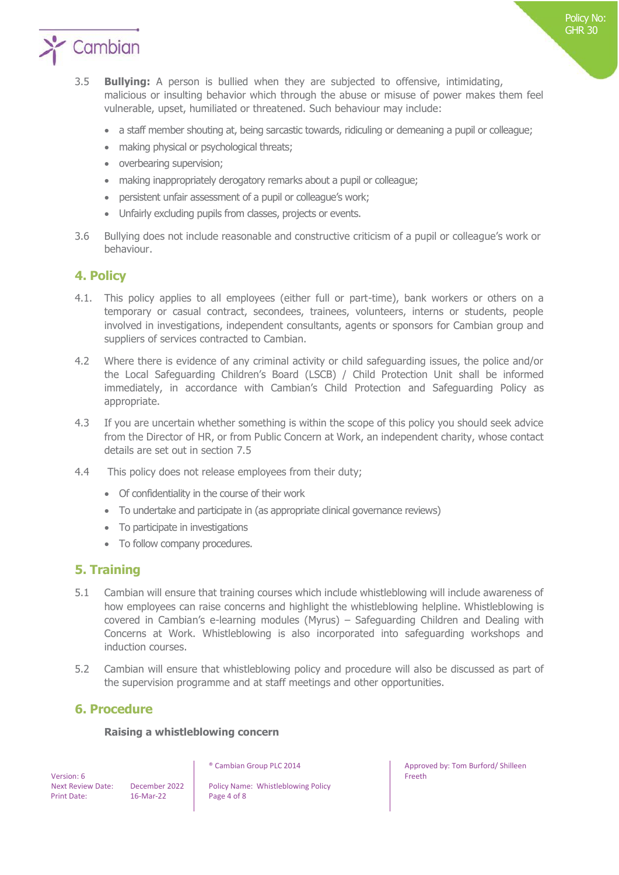

- 3.5 **Bullying:** A person is bullied when they are subjected to offensive, intimidating, malicious or insulting behavior which through the abuse or misuse of power makes them feel vulnerable, upset, humiliated or threatened. Such behaviour may include:
	- a staff member shouting at, being sarcastic towards, ridiculing or demeaning a pupil or colleague;
	- making physical or psychological threats;
	- overbearing supervision;
	- making inappropriately derogatory remarks about a pupil or colleague;
	- persistent unfair assessment of a pupil or colleague's work;
	- Unfairly excluding pupils from classes, projects or events.
- 3.6 Bullying does not include reasonable and constructive criticism of a pupil or colleague's work or behaviour.

## **4. Policy**

- 4.1. This policy applies to all employees (either full or part-time), bank workers or others on a temporary or casual contract, secondees, trainees, volunteers, interns or students, people involved in investigations, independent consultants, agents or sponsors for Cambian group and suppliers of services contracted to Cambian.
- 4.2 Where there is evidence of any criminal activity or child safeguarding issues, the police and/or the Local Safeguarding Children's Board (LSCB) / Child Protection Unit shall be informed immediately, in accordance with Cambian's Child Protection and Safeguarding Policy as appropriate.
- 4.3 If you are uncertain whether something is within the scope of this policy you should seek advice from the Director of HR, or from Public Concern at Work, an independent charity, whose contact details are set out in section 7.5
- 4.4 This policy does not release employees from their duty;
	- Of confidentiality in the course of their work
	- To undertake and participate in (as appropriate clinical governance reviews)
	- To participate in investigations
	- To follow company procedures.

## **5. Training**

- 5.1 Cambian will ensure that training courses which include whistleblowing will include awareness of how employees can raise concerns and highlight the whistleblowing helpline. Whistleblowing is covered in Cambian's e-learning modules (Myrus) – Safeguarding Children and Dealing with Concerns at Work. Whistleblowing is also incorporated into safeguarding workshops and induction courses.
- 5.2 Cambian will ensure that whistleblowing policy and procedure will also be discussed as part of the supervision programme and at staff meetings and other opportunities.

## **6. Procedure**

#### **Raising a whistleblowing concern**

 Version: 6 Print Date: 16-Mar-22 Page 4 of 8

Next Review Date: December 2022 | Policy Name: Whistleblowing Policy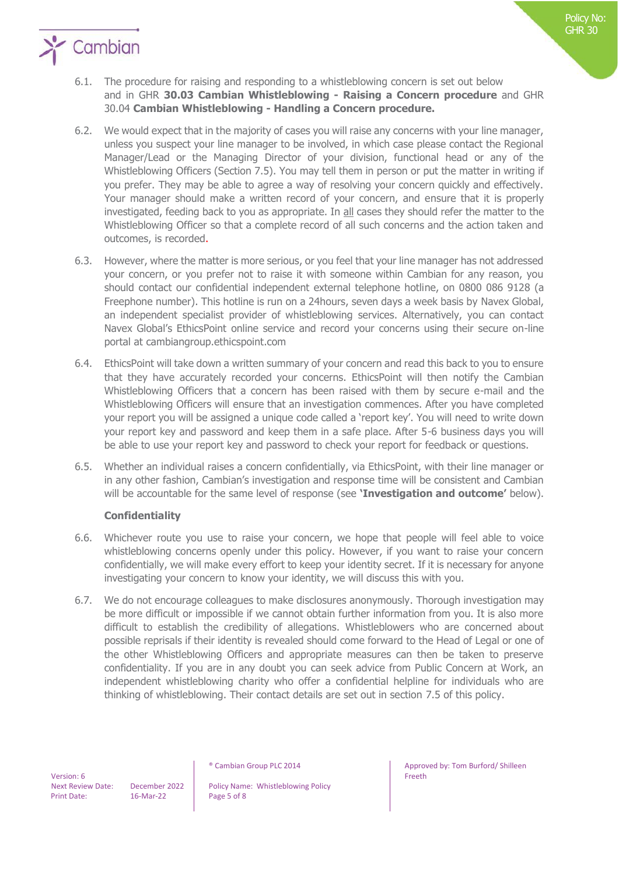

- 6.2. We would expect that in the majority of cases you will raise any concerns with your line manager, unless you suspect your line manager to be involved, in which case please contact the Regional Manager/Lead or the Managing Director of your division, functional head or any of the Whistleblowing Officers (Section 7.5). You may tell them in person or put the matter in writing if you prefer. They may be able to agree a way of resolving your concern quickly and effectively. Your manager should make a written record of your concern, and ensure that it is properly investigated, feeding back to you as appropriate. In all cases they should refer the matter to the Whistleblowing Officer so that a complete record of all such concerns and the action taken and outcomes, is recorded.
- 6.3. However, where the matter is more serious, or you feel that your line manager has not addressed your concern, or you prefer not to raise it with someone within Cambian for any reason, you should contact our confidential independent external telephone hotline, on 0800 086 9128 (a Freephone number). This hotline is run on a 24hours, seven days a week basis by Navex Global, an independent specialist provider of whistleblowing services. Alternatively, you can contact Navex Global's EthicsPoint online service and record your concerns using their secure on-line portal at cambiangroup.ethicspoint.com
- 6.4. EthicsPoint will take down a written summary of your concern and read this back to you to ensure that they have accurately recorded your concerns. EthicsPoint will then notify the Cambian Whistleblowing Officers that a concern has been raised with them by secure e-mail and the Whistleblowing Officers will ensure that an investigation commences. After you have completed your report you will be assigned a unique code called a 'report key'. You will need to write down your report key and password and keep them in a safe place. After 5-6 business days you will be able to use your report key and password to check your report for feedback or questions.
- 6.5. Whether an individual raises a concern confidentially, via EthicsPoint, with their line manager or in any other fashion, Cambian's investigation and response time will be consistent and Cambian will be accountable for the same level of response (see **'Investigation and outcome'** below).

## **Confidentiality**

- 6.6. Whichever route you use to raise your concern, we hope that people will feel able to voice whistleblowing concerns openly under this policy. However, if you want to raise your concern confidentially, we will make every effort to keep your identity secret. If it is necessary for anyone investigating your concern to know your identity, we will discuss this with you.
- 6.7. We do not encourage colleagues to make disclosures anonymously. Thorough investigation may be more difficult or impossible if we cannot obtain further information from you. It is also more difficult to establish the credibility of allegations. Whistleblowers who are concerned about possible reprisals if their identity is revealed should come forward to the Head of Legal or one of the other Whistleblowing Officers and appropriate measures can then be taken to preserve confidentiality. If you are in any doubt you can seek advice from Public Concern at Work, an independent whistleblowing charity who offer a confidential helpline for individuals who are thinking of whistleblowing. Their contact details are set out in section 7.5 of this policy.

Next Review Date: December 2022 | Policy Name: Whistleblowing Policy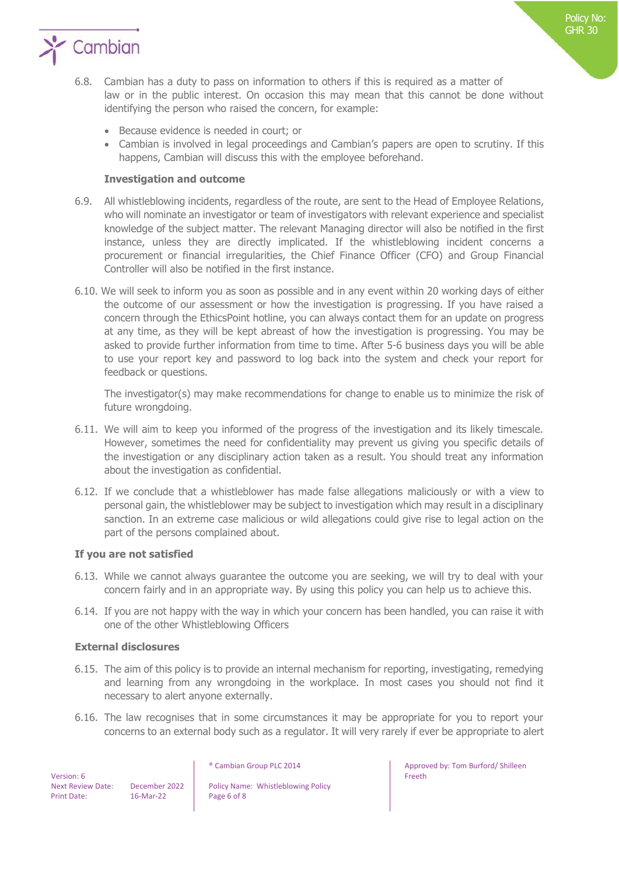

- 6.8. Cambian has a duty to pass on information to others if this is required as a matter of law or in the public interest. On occasion this may mean that this cannot be done without identifying the person who raised the concern, for example:
	- Because evidence is needed in court; or
	- Cambian is involved in legal proceedings and Cambian's papers are open to scrutiny. If this happens, Cambian will discuss this with the employee beforehand.

#### **Investigation and outcome**

- 6.9. All whistleblowing incidents, regardless of the route, are sent to the Head of Employee Relations, who will nominate an investigator or team of investigators with relevant experience and specialist knowledge of the subject matter. The relevant Managing director will also be notified in the first instance, unless they are directly implicated. If the whistleblowing incident concerns a procurement or financial irregularities, the Chief Finance Officer (CFO) and Group Financial Controller will also be notified in the first instance.
- 6.10. We will seek to inform you as soon as possible and in any event within 20 working days of either the outcome of our assessment or how the investigation is progressing. If you have raised a concern through the EthicsPoint hotline, you can always contact them for an update on progress at any time, as they will be kept abreast of how the investigation is progressing. You may be asked to provide further information from time to time. After 5-6 business days you will be able to use your report key and password to log back into the system and check your report for feedback or questions.

The investigator(s) may make recommendations for change to enable us to minimize the risk of future wrongdoing.

- 6.11. We will aim to keep you informed of the progress of the investigation and its likely timescale. However, sometimes the need for confidentiality may prevent us giving you specific details of the investigation or any disciplinary action taken as a result. You should treat any information about the investigation as confidential.
- 6.12. If we conclude that a whistleblower has made false allegations maliciously or with a view to personal gain, the whistleblower may be subject to investigation which may result in a disciplinary sanction. In an extreme case malicious or wild allegations could give rise to legal action on the part of the persons complained about.

#### **If you are not satisfied**

- 6.13. While we cannot always guarantee the outcome you are seeking, we will try to deal with your concern fairly and in an appropriate way. By using this policy you can help us to achieve this.
- 6.14. If you are not happy with the way in which your concern has been handled, you can raise it with one of the other Whistleblowing Officers

#### **External disclosures**

- 6.15. The aim of this policy is to provide an internal mechanism for reporting, investigating, remedying and learning from any wrongdoing in the workplace. In most cases you should not find it necessary to alert anyone externally.
- 6.16. The law recognises that in some circumstances it may be appropriate for you to report your concerns to an external body such as a regulator. It will very rarely if ever be appropriate to alert

 Version: 6 Print Date: 16-Mar-22 Page 6 of 8

Next Review Date: December 2022 | Policy Name: Whistleblowing Policy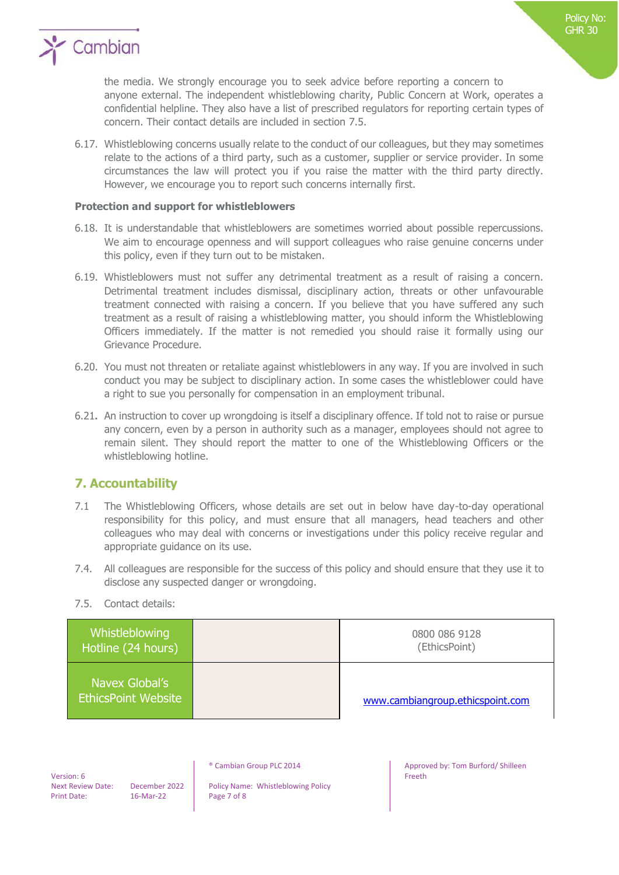

the media. We strongly encourage you to seek advice before reporting a concern to anyone external. The independent whistleblowing charity, Public Concern at Work, operates a confidential helpline. They also have a list of prescribed regulators for reporting certain types of concern. Their contact details are included in section 7.5.

6.17. Whistleblowing concerns usually relate to the conduct of our colleagues, but they may sometimes relate to the actions of a third party, such as a customer, supplier or service provider. In some circumstances the law will protect you if you raise the matter with the third party directly. However, we encourage you to report such concerns internally first.

#### **Protection and support for whistleblowers**

- 6.18. It is understandable that whistleblowers are sometimes worried about possible repercussions. We aim to encourage openness and will support colleagues who raise genuine concerns under this policy, even if they turn out to be mistaken.
- 6.19. Whistleblowers must not suffer any detrimental treatment as a result of raising a concern. Detrimental treatment includes dismissal, disciplinary action, threats or other unfavourable treatment connected with raising a concern. If you believe that you have suffered any such treatment as a result of raising a whistleblowing matter, you should inform the Whistleblowing Officers immediately. If the matter is not remedied you should raise it formally using our Grievance Procedure.
- 6.20. You must not threaten or retaliate against whistleblowers in any way. If you are involved in such conduct you may be subject to disciplinary action. In some cases the whistleblower could have a right to sue you personally for compensation in an employment tribunal.
- 6.21**.** An instruction to cover up wrongdoing is itself a disciplinary offence. If told not to raise or pursue any concern, even by a person in authority such as a manager, employees should not agree to remain silent. They should report the matter to one of the Whistleblowing Officers or the whistleblowing hotline.

## **7. Accountability**

- 7.1 The Whistleblowing Officers, whose details are set out in below have day-to-day operational responsibility for this policy, and must ensure that all managers, head teachers and other colleagues who may deal with concerns or investigations under this policy receive regular and appropriate guidance on its use.
- 7.4. All colleagues are responsible for the success of this policy and should ensure that they use it to disclose any suspected danger or wrongdoing.
- 7.5. Contact details:

| Whistleblowing<br>Hotline (24 hours)         | 0800 086 9128<br>(EthicsPoint)   |
|----------------------------------------------|----------------------------------|
| Navex Global's<br><b>EthicsPoint Website</b> | www.cambiangroup.ethicspoint.com |

 Version: 6 Print Date: 16-Mar-22 Page 7 of 8

Next Review Date: December 2022 | Policy Name: Whistleblowing Policy